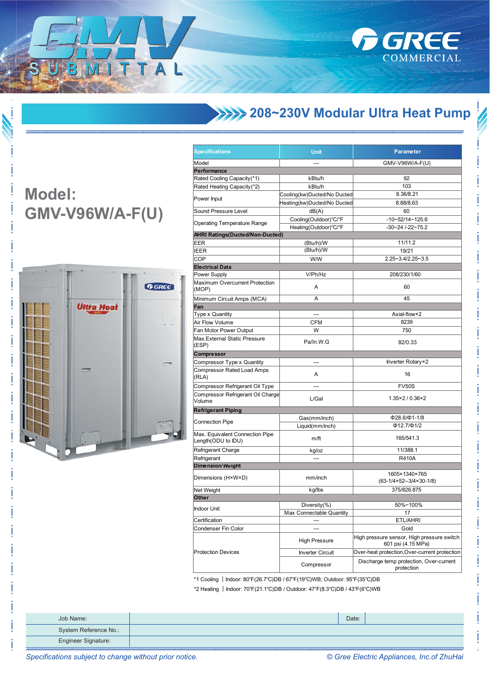

## **XXXX 208~230V Modular Ultra Heat Pump**

## **Model: GMV-V96W/A-F(U)**

ITTAL



| <b>Specifications</b>                                                      | <b>Unit</b>                 | <b>Parameter</b>                                                 |  |
|----------------------------------------------------------------------------|-----------------------------|------------------------------------------------------------------|--|
| Model                                                                      |                             | GMV-V96W/A-F(U)                                                  |  |
| Performance                                                                |                             |                                                                  |  |
| Rated Cooling Capacity(*1)                                                 | kBtu/h                      | 92                                                               |  |
| Rated Heating Capacity(*2)                                                 | kBtu/h                      | 103                                                              |  |
|                                                                            | Cooling(kw)Ducted/No Ducted | 8.36/8.21                                                        |  |
| Power Input                                                                | Heating(kw)Ducted/No Ducted | 8.88/8.63                                                        |  |
| Sound Pressure Level                                                       | dB(A)                       | 60                                                               |  |
|                                                                            | Cooling(Outdoor)°C/°F       | $-10-52/14-125.6$                                                |  |
| <b>Operating Temperature Range</b>                                         | Heating(Outdoor)°C/°F       | $-30 - 24$ $-22 - 75.2$                                          |  |
| <b>AHRI Ratings (Ducted/Non-Ducted)</b>                                    |                             |                                                                  |  |
| EER                                                                        | (Btu/h)/W                   | 11/11.2                                                          |  |
| <b>IEER</b>                                                                | (Btu/h)/W                   | 19/21                                                            |  |
| COP                                                                        | <b>W/W</b>                  | 2.25~3.4/2.25~3.5                                                |  |
| <b>Electrical Data</b>                                                     |                             |                                                                  |  |
| Power Supply                                                               | V/Ph/Hz                     | 208/230/1/60                                                     |  |
| Maximum Overcurrent Protection<br>(MOP)                                    | Α                           | 60                                                               |  |
| Minimum Circuit Amps (MCA)                                                 | Α                           | 45                                                               |  |
| Fan                                                                        |                             |                                                                  |  |
| Type x Quantity                                                            |                             | Axial-flow×2                                                     |  |
| Air Flow Volume                                                            | CFM                         | 8239                                                             |  |
| Fan Motor Power Output                                                     | W                           | 750                                                              |  |
| Max. External Static Pressure                                              |                             |                                                                  |  |
| (ESP)                                                                      | Pa/In.W.G                   | 82/0.33                                                          |  |
| Compressor                                                                 |                             |                                                                  |  |
| Compressor Type x Quantity                                                 |                             | Inverter Rotary×2                                                |  |
| Compressor Rated Load Amps<br>(RLA)                                        | Α                           | 16                                                               |  |
| Compressor Refrigerant Oil Type                                            |                             | <b>FV50S</b>                                                     |  |
| Compressor Refrigerant Oil Charge<br>Volume                                | L/Gal                       | $1.35 \times 2 / 0.36 \times 2$                                  |  |
| <b>Refrigerant Piping</b>                                                  |                             |                                                                  |  |
|                                                                            | Gas(mm/inch)                | $\Phi$ 28.6/ $\Phi$ 1-1/8                                        |  |
| <b>Connection Pipe</b>                                                     | Liquid(mm/inch)             | $\Phi$ 12.7/ $\Phi$ 1/2                                          |  |
| Max. Equivalent Connection Pipe<br>Length(ODU to IDU)                      | m/ft                        | 165/541.3                                                        |  |
| Refrigerant Charge                                                         | kg/oz                       | 11/388.1                                                         |  |
| Refrigerant                                                                |                             | R410A                                                            |  |
| <b>Dimension/Weight</b>                                                    |                             |                                                                  |  |
| Dimensions (H×W×D)                                                         | mm/inch                     | 1605×1340×765<br>$(63-1/4\times52-3/4\times30-1/8)$              |  |
| Net Weight                                                                 | kg/lbs                      | 375/826.875                                                      |  |
| Other                                                                      |                             |                                                                  |  |
|                                                                            | Diversity $(\%)$            | 50%~100%                                                         |  |
| Indoor Unit                                                                | Max Connectable Quantity    | 17                                                               |  |
| Certification                                                              |                             | ETL/AHRI                                                         |  |
| Condenser Fin Color                                                        |                             | Gold                                                             |  |
|                                                                            | <b>High Pressure</b>        | High pressure sensor, High pressure switch<br>601 psi (4.15 MPa) |  |
| <b>Protection Devices</b>                                                  | <b>Inverter Circuit</b>     | Over-heat protection, Over-current protection                    |  |
|                                                                            | Compressor                  | Discharge temp protection, Over-current<br>protection            |  |
| *1 Cooling   Indoor: 80°E(26 7°C)DR (67°E(10°C)\N/R; Outdoor: 05°E(25°C)DR |                             |                                                                  |  |

80°F(26.7°C)DB / 67°F(19°C)WB; Outdoor: 95°F(35°C)DB

\*2 Heating | Indoor: 70°F(21.1°C)DB / Outdoor: 47°F(8.3°C)DB / 43°F(6°C)WB

| Job Name:                  | Date: |  |
|----------------------------|-------|--|
| System Reference No.:      |       |  |
| <b>Engineer Signature:</b> |       |  |

© Gree Electric Appliances, Inc.of ZhuHai